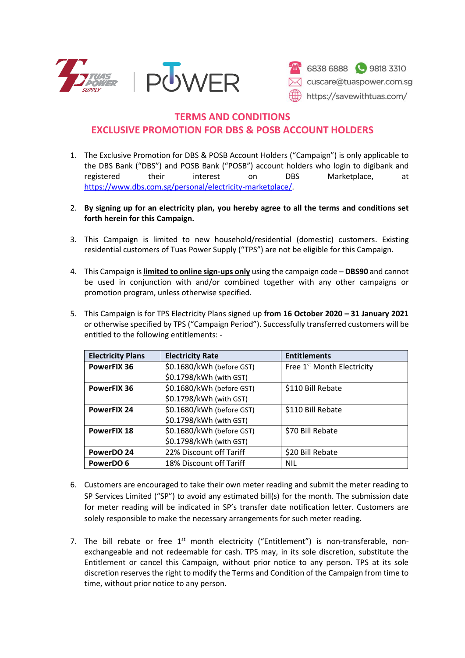



## **TERMS AND CONDITIONS EXCLUSIVE PROMOTION FOR DBS & POSB ACCOUNT HOLDERS**

- 1. The Exclusive Promotion for DBS & POSB Account Holders ("Campaign") is only applicable to the DBS Bank ("DBS") and POSB Bank ("POSB") account holders who login to digibank and registered their interest on DBS Marketplace, at [https://www.dbs.com.sg/personal/electricity-marketplace/.](https://www.dbs.com.sg/personal/electricity-marketplace/)
- 2. **By signing up for an electricity plan, you hereby agree to all the terms and conditions set forth herein for this Campaign.**
- 3. This Campaign is limited to new household/residential (domestic) customers. Existing residential customers of Tuas Power Supply ("TPS") are not be eligible for this Campaign.
- 4. This Campaign is **limited to online sign-ups only** using the campaign code **DBS90** and cannot be used in conjunction with and/or combined together with any other campaigns or promotion program, unless otherwise specified.
- 5. This Campaign is for TPS Electricity Plans signed up **from 16 October 2020 – 31 January 2021** or otherwise specified by TPS ("Campaign Period"). Successfully transferred customers will be entitled to the following entitlements: -

| <b>Electricity Plans</b> | <b>Electricity Rate</b>   | <b>Entitlements</b>                    |
|--------------------------|---------------------------|----------------------------------------|
| <b>PowerFIX 36</b>       | \$0.1680/kWh (before GST) | Free 1 <sup>st</sup> Month Electricity |
|                          | \$0.1798/kWh (with GST)   |                                        |
| <b>PowerFIX 36</b>       | \$0.1680/kWh (before GST) | \$110 Bill Rebate                      |
|                          | \$0.1798/kWh (with GST)   |                                        |
| <b>PowerFIX 24</b>       | \$0.1680/kWh (before GST) | \$110 Bill Rebate                      |
|                          | \$0.1798/kWh (with GST)   |                                        |
| <b>PowerFIX 18</b>       | \$0.1680/kWh (before GST) | \$70 Bill Rebate                       |
|                          | \$0.1798/kWh (with GST)   |                                        |
| PowerDO 24               | 22% Discount off Tariff   | \$20 Bill Rebate                       |
| PowerDO 6                | 18% Discount off Tariff   | <b>NIL</b>                             |

- 6. Customers are encouraged to take their own meter reading and submit the meter reading to SP Services Limited ("SP") to avoid any estimated bill(s) for the month. The submission date for meter reading will be indicated in SP's transfer date notification letter. Customers are solely responsible to make the necessary arrangements for such meter reading.
- 7. The bill rebate or free  $1<sup>st</sup>$  month electricity ("Entitlement") is non-transferable, nonexchangeable and not redeemable for cash. TPS may, in its sole discretion, substitute the Entitlement or cancel this Campaign, without prior notice to any person. TPS at its sole discretion reserves the right to modify the Terms and Condition of the Campaign from time to time, without prior notice to any person.